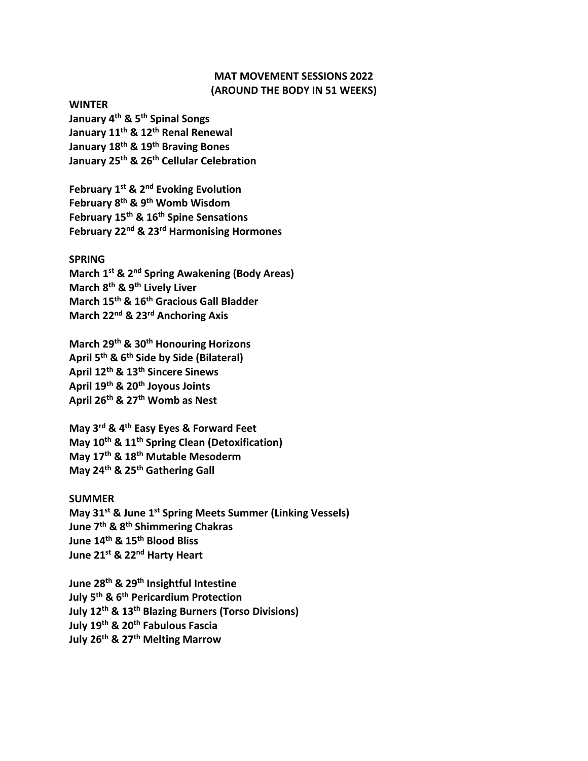# **MAT MOVEMENT SESSIONS 2022 (AROUND THE BODY IN 51 WEEKS)**

**WINTER**

**January 4 th & 5th Spinal Songs January 11 th & 12 th Renal Renewal January 18 th & 19th Braving Bones January 25 th & 26 th Cellular Celebration**

**February 1 st & 2 nd Evoking Evolution February 8 th & 9 th Womb Wisdom February 15 th & 16 th Spine Sensations February 22nd & 23 rd Harmonising Hormones**

### **SPRING**

**March 1 st & 2nd Spring Awakening (Body Areas) March 8 th & 9 th Lively Liver March 15 th & 16 th Gracious Gall Bladder March 22 nd & 23 rd Anchoring Axis**

**March 29 th & 30th Honouring Horizons April 5 th & 6 th Side by Side (Bilateral) April 12 th & 13 th Sincere Sinews April 19 th & 20 th Joyous Joints April 26 th & 27 th Womb as Nest**

**May 3 rd & 4 th Easy Eyes & Forward Feet May 10th & 11 th Spring Clean (Detoxification) May 17 th & 18th Mutable Mesoderm May 24 th & 25 th Gathering Gall**

## **SUMMER**

**May 31 st & June 1 st Spring Meets Summer (Linking Vessels) June 7 th & 8 th Shimmering Chakras June 14 th & 15 th Blood Bliss June 21 st & 22 nd Harty Heart**

**June 28 th & 29th Insightful Intestine July 5 th & 6 th Pericardium Protection July 12 th & 13 th Blazing Burners (Torso Divisions) July 19 th & 20 th Fabulous Fascia July 26 th & 27 th Melting Marrow**